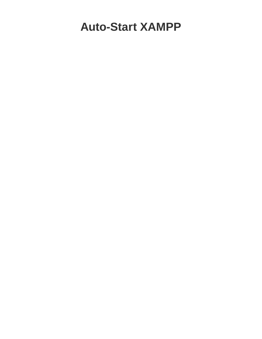## **Auto-Start XAMPP**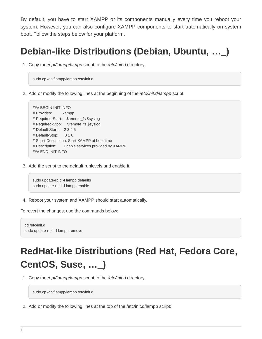By default, you have to start XAMPP or its components manually every time you reboot your system. However, you can also configure XAMPP components to start automatically on system boot. Follow the steps below for your platform.

## **Debian-like Distributions (Debian, Ubuntu, …\_)**

1. Copy the /opt/lampp/lampp script to the /etc/init.d directory.

sudo cp /opt/lampp/lampp /etc/init.d

2. Add or modify the following lines at the beginning of the /etc/init.d/lampp script.

```
### BEGIN INIT INFO
# Provides: xampp
# Required-Start: $remote_fs $syslog
# Required-Stop: $remote_fs $syslog
# Default-Start: 2 3 4 5
# Default-Stop: 0 1 6
# Short-Description: Start XAMPP at boot time
# Description: Enable services provided by XAMPP.
### END INIT INFO
```
3. Add the script to the default runlevels and enable it.

```
sudo update-rc.d -f lampp defaults
sudo update-rc.d -f lampp enable
```
4. Reboot your system and XAMPP should start automatically.

To revert the changes, use the commands below:

cd /etc/init.d sudo update-rc.d -f lampp remove

## **RedHat-like Distributions (Red Hat, Fedora Core, CentOS, Suse, …\_)**

1. Copy the /opt/lampp/lampp script to the /etc/init.d directory.

sudo cp /opt/lampp/lampp /etc/init.d

2. Add or modify the following lines at the top of the /etc/init.d/lampp script: